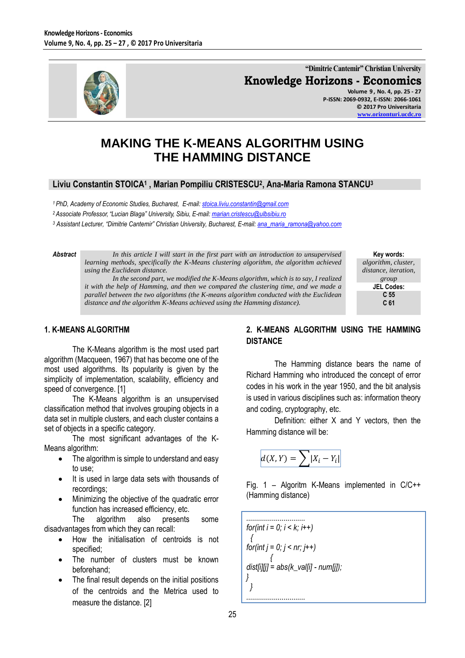

**"Dimitrie Cantemir" Christian University Knowledge Horizons - Economics Volume 9 , No. 4, pp. 25 - 27**

**P-ISSN: 2069-0932, E-ISSN: 2066-1061 © 2017 Pro Universitaria [www.orizonturi.ucdc.ro](http://www.orizonturi.ucdc.ro/)**

# **MAKING THE K-MEANS ALGORITHM USING THE HAMMING DISTANCE**

# **Liviu Constantin STOICA<sup>1</sup> , Marian Pompiliu CRISTESCU<sup>2</sup> , Ana-Maria Ramona STANCU<sup>3</sup>**

*<sup>1</sup> PhD, Academy of Economic Studies, Bucharest, E-mail[: stoica.liviu.constantin@gmail.com](mailto:stoica.liviu.constantin@gmail.com)*

*<sup>2</sup> Associate Professor, "Lucian Blaga" University, Sibiu, E-mail: [marian.cristescu@ulbsibiu.ro](mailto:marian.cristescu@ulbsibiu.ro)*

*<sup>3</sup> Assistant Lecturer, "Dimitrie Cantemir" Christian University, Bucharest, E-mail[: ana\\_maria\\_ramona@yahoo.com](mailto:ana_maria_ramona@yahoo.com)*

*Abstract In this article I will start in the first part with an introduction to unsupervised learning methods, specifically the K-Means clustering algorithm, the algorithm achieved using the Euclidean distance.*

*In the second part, we modified the K-Means algorithm, which is to say, I realized it with the help of Hamming, and then we compared the clustering time, and we made a parallel between the two algorithms (the K-means algorithm conducted with the Euclidean distance and the algorithm K-Means achieved using the Hamming distance).*

**Key words:** *algorithm, cluster, distance, iteration, group* **JEL Codes: C 55 C 61**

## **1. K-MEANS ALGORITHM**

The K-Means algorithm is the most used part algorithm (Macqueen, 1967) that has become one of the most used algorithms. Its popularity is given by the simplicity of implementation, scalability, efficiency and speed of convergence. [1]

The K-Means algorithm is an unsupervised classification method that involves grouping objects in a data set in multiple clusters, and each cluster contains a set of objects in a specific category.

The most significant advantages of the K-Means algorithm:

- The algorithm is simple to understand and easy to use;
- It is used in large data sets with thousands of recordings;
- Minimizing the objective of the quadratic error function has increased efficiency, etc.

The algorithm also presents some disadvantages from which they can recall:

- How the initialisation of centroids is not specified;
- The number of clusters must be known beforehand;
- The final result depends on the initial positions of the centroids and the Metrica used to measure the distance. [2]

# **2. K-MEANS ALGORITHM USING THE HAMMING DISTANCE**

The Hamming distance bears the name of Richard Hamming who introduced the concept of error codes in his work in the year 1950, and the bit analysis is used in various disciplines such as: information theory and coding, cryptography, etc.

Definition: either X and Y vectors, then the Hamming distance will be:

$$
d(X,Y) = \sum |X_i - Y_i|
$$

Fig. 1 – Algoritm K-Means implemented in C/C++ (Hamming distance)

*.............................. for(int i = 0; i < k; i++) { for(int j = 0; j < nr; j++) { dist[i][j] = abs(k\_val[i] - num[j]); } } ..............................*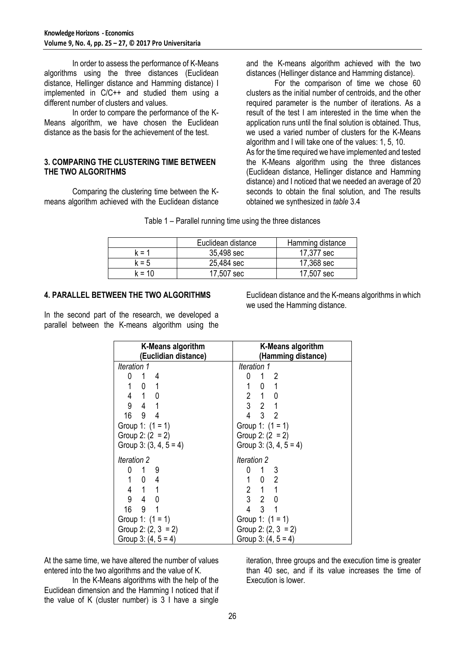In order to assess the performance of K-Means algorithms using the three distances (Euclidean distance, Hellinger distance and Hamming distance) I implemented in C/C++ and studied them using a different number of clusters and values.

In order to compare the performance of the K-Means algorithm, we have chosen the Euclidean distance as the basis for the achievement of the test.

#### **3. COMPARING THE CLUSTERING TIME BETWEEN THE TWO ALGORITHMS**

Comparing the clustering time between the Kmeans algorithm achieved with the Euclidean distance and the K-means algorithm achieved with the two distances (Hellinger distance and Hamming distance).

For the comparison of time we chose 60 clusters as the initial number of centroids, and the other required parameter is the number of iterations. As a result of the test I am interested in the time when the application runs until the final solution is obtained. Thus, we used a varied number of clusters for the K-Means algorithm and I will take one of the values: 1, 5, 10. As for the time required we have implemented and tested the K-Means algorithm using the three distances (Euclidean distance, Hellinger distance and Hamming distance) and I noticed that we needed an average of 20 seconds to obtain the final solution, and The results obtained we synthesized in *table* 3.4

|  |  |  | Table 1 – Parallel running time using the three distances |
|--|--|--|-----------------------------------------------------------|
|  |  |  |                                                           |

|         | Euclidean distance | Hamming distance |
|---------|--------------------|------------------|
| k = 1   | 35,498 sec         | 17,377 sec       |
| $k = 5$ | 25,484 sec         | 17,368 sec       |
| k = 10  | 17,507 sec         | 17,507 sec       |

## **4. PARALLEL BETWEEN THE TWO ALGORITHMS**

In the second part of the research, we developed a parallel between the K-means algorithm using the

Euclidean distance and the K-means algorithms in which we used the Hamming distance.

| <b>K-Means algorithm</b> | <b>K-Means algorithm</b>                                               |  |  |  |
|--------------------------|------------------------------------------------------------------------|--|--|--|
| (Euclidian distance)     | (Hamming distance)                                                     |  |  |  |
| Iteration 1              | Iteration 1                                                            |  |  |  |
| 14                       | 0<br>$1\quad 2$                                                        |  |  |  |
| $1 \quad 0 \quad 1$      | $1 \quad 0 \quad 1$                                                    |  |  |  |
| 4 1 0                    | $2 \quad 1 \quad 0$                                                    |  |  |  |
| 9<br>$4 \quad 1$         | $3 \quad 2 \quad 1$                                                    |  |  |  |
| 16 9 4                   | $4 \quad 3 \quad 2$                                                    |  |  |  |
| Group 1: $(1 = 1)$       | Group 1: $(1 = 1)$                                                     |  |  |  |
| Group 2: $(2 = 2)$       | Group 2: $(2 = 2)$                                                     |  |  |  |
| Group 3: $(3, 4, 5 = 4)$ | Group 3: $(3, 4, 5 = 4)$                                               |  |  |  |
| Iteration 2              | Iteration 2                                                            |  |  |  |
| 19                       | 0 1 3                                                                  |  |  |  |
| $1 \quad 0 \quad 4$      |                                                                        |  |  |  |
| 4 1 1                    | $\begin{array}{ccccc} 1 & 0 & 2 \\ 2 & 1 & 1 \\ 3 & 2 & 0 \end{array}$ |  |  |  |
| 940                      |                                                                        |  |  |  |
| 16 9 1                   | $4 \quad 3 \quad 1$                                                    |  |  |  |
| Group 1: $(1 = 1)$       | Group 1: $(1 = 1)$                                                     |  |  |  |
| Group 2: $(2, 3 = 2)$    | Group 2: $(2, 3 = 2)$                                                  |  |  |  |
| Group 3: $(4, 5 = 4)$    | Group 3: $(4, 5 = 4)$                                                  |  |  |  |

At the same time, we have altered the number of values entered into the two algorithms and the value of K.

In the K-Means algorithms with the help of the Euclidean dimension and the Hamming I noticed that if the value of K (cluster number) is 3 I have a single

iteration, three groups and the execution time is greater than 40 sec, and if its value increases the time of Execution is lower.